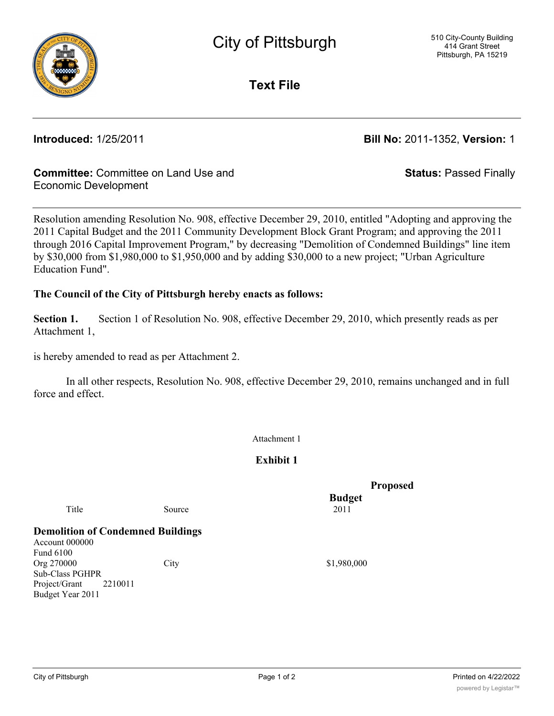

**Text File**

**Introduced:** 1/25/2011 **Bill No:** 2011-1352, **Version:** 1

**Status:** Passed Finally

# **Committee:** Committee on Land Use and Economic Development

Resolution amending Resolution No. 908, effective December 29, 2010, entitled "Adopting and approving the 2011 Capital Budget and the 2011 Community Development Block Grant Program; and approving the 2011 through 2016 Capital Improvement Program," by decreasing "Demolition of Condemned Buildings" line item by \$30,000 from \$1,980,000 to \$1,950,000 and by adding \$30,000 to a new project; "Urban Agriculture Education Fund".

# **The Council of the City of Pittsburgh hereby enacts as follows:**

**Section 1.** Section 1 of Resolution No. 908, effective December 29, 2010, which presently reads as per Attachment 1,

is hereby amended to read as per Attachment 2.

In all other respects, Resolution No. 908, effective December 29, 2010, remains unchanged and in full force and effect.

Attachment 1

**Exhibit 1**

 **Proposed Budget**

Title Source 2011

**Demolition of Condemned Buildings**

Account 000000 Fund 6100 Org 270000 City City S1,980,000 Sub-Class PGHPR Project/Grant 2210011 Budget Year 2011